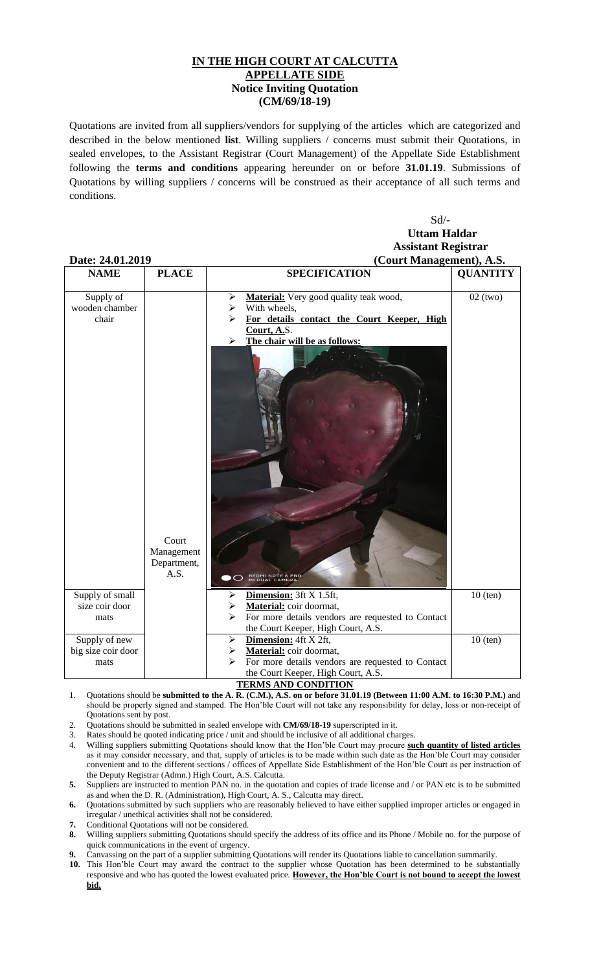## **IN THE HIGH COURT AT CALCUTTA APPELLATE SIDE Notice Inviting Quotation (CM/69/18-19)**

Quotations are invited from all suppliers/vendors for supplying of the articles which are categorized and described in the below mentioned **list**. Willing suppliers / concerns must submit their Quotations, in sealed envelopes, to the Assistant Registrar (Court Management) of the Appellate Side Establishment following the **terms and conditions** appearing hereunder on or before **31.01.19**. Submissions of Quotations by willing suppliers / concerns will be construed as their acceptance of all such terms and conditions.

|                | $Sd$ /-                                |
|----------------|----------------------------------------|
|                | <b>Uttam Haldar</b>                    |
|                | <b>Assistant Registrar</b>             |
| <u>A1 2010</u> | $(C_{\alpha}, M_{\alpha}, A_{\alpha})$ |

| Date: 24.01.2019                            | (Court Management), A.S.                   |                                                                                                                                                                                                           |                 |
|---------------------------------------------|--------------------------------------------|-----------------------------------------------------------------------------------------------------------------------------------------------------------------------------------------------------------|-----------------|
| <b>NAME</b>                                 | <b>PLACE</b>                               | <b>SPECIFICATION</b>                                                                                                                                                                                      | <b>QUANTITY</b> |
| Supply of<br>wooden chamber<br>chair        | Court<br>Management<br>Department,<br>A.S. | Material: Very good quality teak wood,<br>➤<br>With wheels,<br>➤<br>For details contact the Court Keeper, High<br>Court, A.S.<br>The chair will be as follows:<br>➤<br>REDMI NOTE 6 PRO<br>MI DUAL CAMERA | $02$ (two)      |
| Supply of small<br>size coir door<br>mats   |                                            | Dimension: 3ft X 1.5ft,<br>➤<br>Material: coir doormat,<br>⋗<br>For more details vendors are requested to Contact<br>➤<br>the Court Keeper, High Court, A.S.                                              | $10$ (ten)      |
| Supply of new<br>big size coir door<br>mats |                                            | Dimension: 4ft X 2ft,<br>➤<br>Material: coir doormat,<br>➤<br>For more details vendors are requested to Contact<br>⋗<br>the Court Keeper, High Court, A.S.                                                | $10$ (ten)      |

## **TERMS AND CONDITION**

- 1. Quotations should be **submitted to the A. R. (C.M.), A.S. on or before 31.01.19 (Between 11:00 A.M. to 16:30 P.M.)** and should be properly signed and stamped. The Hon'ble Court will not take any responsibility for delay, loss or non-receipt of Quotations sent by post.
- 2. Quotations should be submitted in sealed envelope with **CM/69/18-19** superscripted in it.
- 3. Rates should be quoted indicating price / unit and should be inclusive of all additional charges.
- 4. Willing suppliers submitting Quotations should know that the Hon'ble Court may procure **such quantity of listed articles** as it may consider necessary, and that, supply of articles is to be made within such date as the Hon'ble Court may consider convenient and to the different sections / offices of Appellate Side Establishment of the Hon'ble Court as per instruction of the Deputy Registrar (Admn.) High Court, A.S. Calcutta.
- **5.** Suppliers are instructed to mention PAN no. in the quotation and copies of trade license and / or PAN etc is to be submitted as and when the D. R. (Administration), High Court, A. S., Calcutta may direct.
- **6.** Quotations submitted by such suppliers who are reasonably believed to have either supplied improper articles or engaged in irregular / unethical activities shall not be considered.
- **7.** Conditional Quotations will not be considered.
- **8.** Willing suppliers submitting Quotations should specify the address of its office and its Phone / Mobile no. for the purpose of quick communications in the event of urgency.
- **9.** Canvassing on the part of a supplier submitting Quotations will render its Quotations liable to cancellation summarily.
- **10.** This Hon'ble Court may award the contract to the supplier whose Quotation has been determined to be substantially responsive and who has quoted the lowest evaluated price. **However, the Hon'ble Court is not bound to accept the lowest bid.**